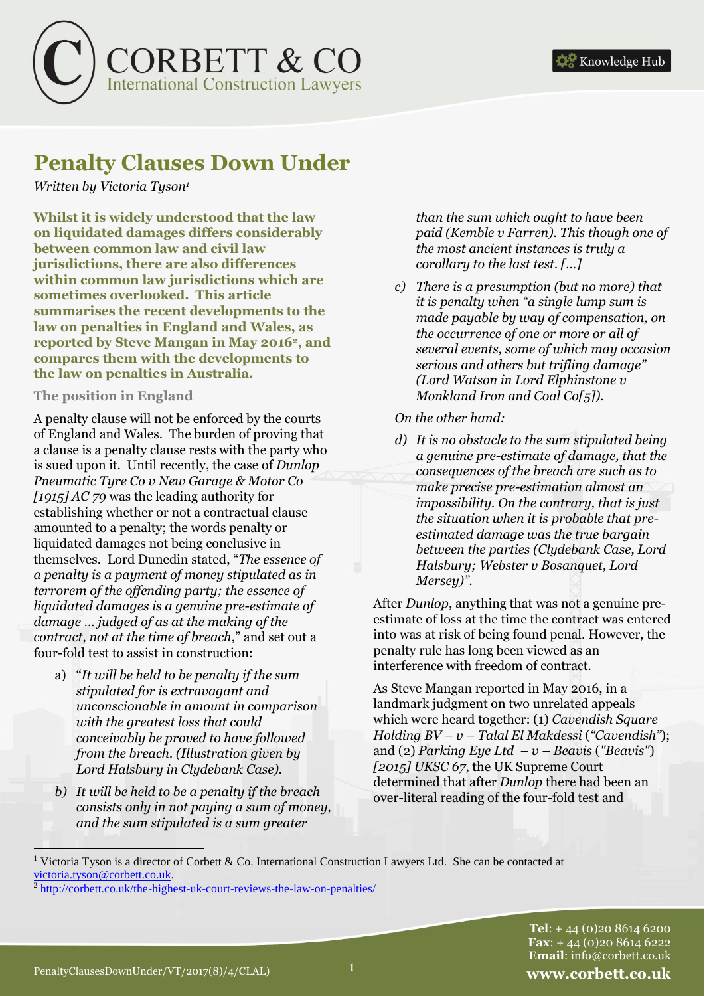

# **Penalty Clauses Down Under**

*Written by Victoria Tyson<sup>1</sup>*

**Whilst it is widely understood that the law on liquidated damages differs considerably between common law and civil law jurisdictions, there are also differences within common law jurisdictions which are sometimes overlooked. This article summarises the recent developments to the law on penalties in England and Wales, as reported by Steve Mangan in May 20162, and compares them with the developments to the law on penalties in Australia.**

#### **The position in England**

A penalty clause will not be enforced by the courts of England and Wales. The burden of proving that a clause is a penalty clause rests with the party who is sued upon it. Until recently, the case of *Dunlop Pneumatic Tyre Co v New Garage & Motor Co [1915] AC 79* was the leading authority for establishing whether or not a contractual clause amounted to a penalty; the words penalty or liquidated damages not being conclusive in themselves. Lord Dunedin stated, "*The essence of a penalty is a payment of money stipulated as in terrorem of the offending party; the essence of liquidated damages is a genuine pre-estimate of damage … judged of as at the making of the contract, not at the time of breach,*" and set out a four-fold test to assist in construction:

- a) "*It will be held to be penalty if the sum stipulated for is extravagant and unconscionable in amount in comparison with the greatest loss that could conceivably be proved to have followed from the breach. (Illustration given by Lord Halsbury in Clydebank Case).*
- *b) It will be held to be a penalty if the breach consists only in not paying a sum of money, and the sum stipulated is a sum greater*

*than the sum which ought to have been paid (Kemble v Farren). This though one of the most ancient instances is truly a corollary to the last test. […]*

*c) There is a presumption (but no more) that it is penalty when "a single lump sum is made payable by way of compensation, on the occurrence of one or more or all of several events, some of which may occasion serious and others but trifling damage" (Lord Watson in Lord Elphinstone v Monkland Iron and Coal Co[5]).* 

# *On the other hand:*

*d) It is no obstacle to the sum stipulated being a genuine pre-estimate of damage, that the consequences of the breach are such as to make precise pre-estimation almost an impossibility. On the contrary, that is just the situation when it is probable that preestimated damage was the true bargain between the parties (Clydebank Case, Lord Halsbury; Webster v Bosanquet, Lord Mersey)".* 

After *Dunlop*, anything that was not a genuine preestimate of loss at the time the contract was entered into was at risk of being found penal. However, the penalty rule has long been viewed as an interference with freedom of contract.

As Steve Mangan reported in May 2016, in a landmark judgment on two unrelated appeals which were heard together: (1) *Cavendish Square Holding BV – v – Talal El Makdessi* (*"Cavendish"*); and (2) *Parking Eye Ltd – v – Beavis* (*"Beavis"*) *[2015] UKSC 67*, the UK Supreme Court determined that after *Dunlop* there had been an over-literal reading of the four-fold test and

 <sup>1</sup> Victoria Tyson is a director of Corbett & Co. International Construction Lawyers Ltd. She can be contacted at [victoria.tyson@corbett.co.uk.](victoria.tyson@corbett.co.uk)

<sup>&</sup>lt;sup>2</sup> <http://corbett.co.uk/the-highest-uk-court-reviews-the-law-on-penalties/>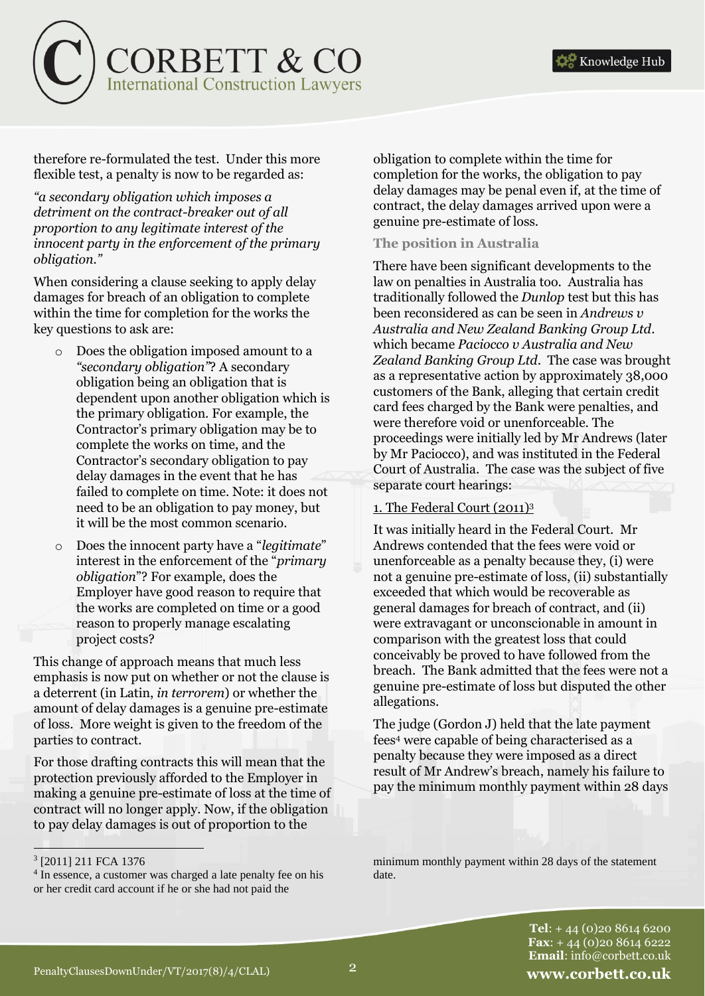

therefore re-formulated the test. Under this more flexible test, a penalty is now to be regarded as:

*"a secondary obligation which imposes a detriment on the contract-breaker out of all proportion to any legitimate interest of the innocent party in the enforcement of the primary obligation."*

When considering a clause seeking to apply delay damages for breach of an obligation to complete within the time for completion for the works the key questions to ask are:

- o Does the obligation imposed amount to a *"secondary obligation"*? A secondary obligation being an obligation that is dependent upon another obligation which is the primary obligation. For example, the Contractor's primary obligation may be to complete the works on time, and the Contractor's secondary obligation to pay delay damages in the event that he has failed to complete on time. Note: it does not need to be an obligation to pay money, but it will be the most common scenario.
- o Does the innocent party have a "*legitimate*" interest in the enforcement of the "*primary obligation*"? For example, does the Employer have good reason to require that the works are completed on time or a good reason to properly manage escalating project costs?

This change of approach means that much less emphasis is now put on whether or not the clause is a deterrent (in Latin, *in terrorem*) or whether the amount of delay damages is a genuine pre-estimate of loss. More weight is given to the freedom of the parties to contract.

For those drafting contracts this will mean that the protection previously afforded to the Employer in making a genuine pre-estimate of loss at the time of contract will no longer apply. Now, if the obligation to pay delay damages is out of proportion to the

obligation to complete within the time for completion for the works, the obligation to pay delay damages may be penal even if, at the time of contract, the delay damages arrived upon were a genuine pre-estimate of loss.

# **The position in Australia**

There have been significant developments to the law on penalties in Australia too. Australia has traditionally followed the *Dunlop* test but this has been reconsidered as can be seen in *Andrews v Australia and New Zealand Banking Group Ltd*. which became *Paciocco v Australia and New Zealand Banking Group Ltd*. The case was brought as a representative action by approximately 38,000 customers of the Bank, alleging that certain credit card fees charged by the Bank were penalties, and were therefore void or unenforceable. The proceedings were initially led by Mr Andrews (later by Mr Paciocco), and was instituted in the Federal Court of Australia. The case was the subject of five separate court hearings:

#### 1. The Federal Court (2011)<sup>3</sup>

It was initially heard in the Federal Court. Mr Andrews contended that the fees were void or unenforceable as a penalty because they, (i) were not a genuine pre-estimate of loss, (ii) substantially exceeded that which would be recoverable as general damages for breach of contract, and (ii) were extravagant or unconscionable in amount in comparison with the greatest loss that could conceivably be proved to have followed from the breach. The Bank admitted that the fees were not a genuine pre-estimate of loss but disputed the other allegations.

The judge (Gordon J) held that the late payment fees<sup>4</sup> were capable of being characterised as a penalty because they were imposed as a direct result of Mr Andrew's breach, namely his failure to pay the minimum monthly payment within 28 days

<sup>3</sup> [2011] 211 FCA 1376

<sup>&</sup>lt;sup>4</sup> In essence, a customer was charged a late penalty fee on his or her credit card account if he or she had not paid the

minimum monthly payment within 28 days of the statement date.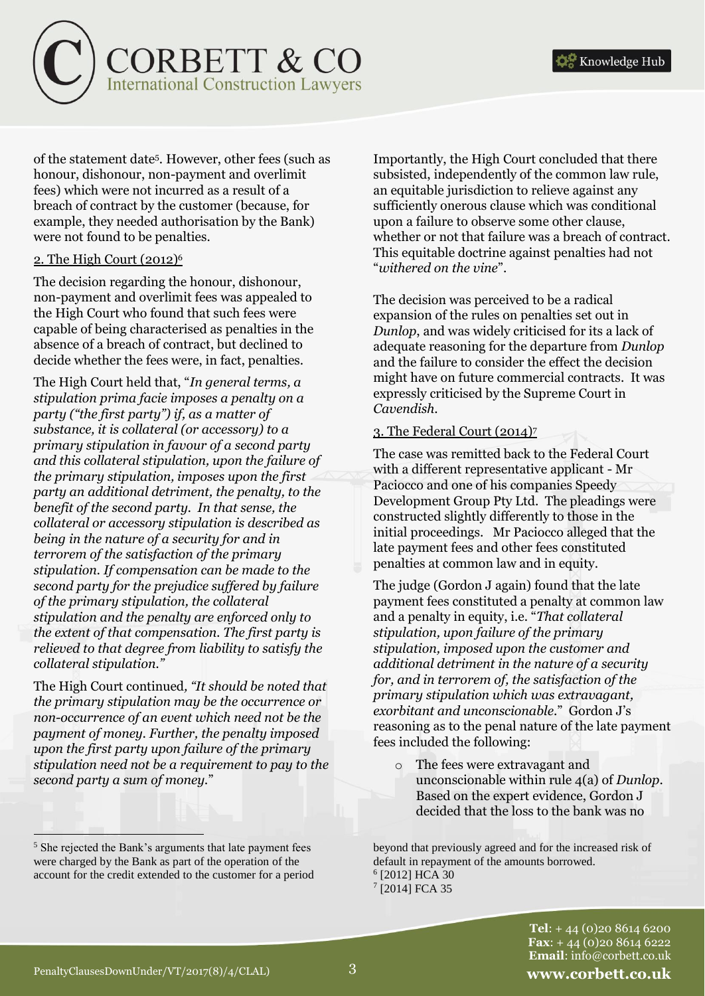

of the statement date<sup>5</sup> . However, other fees (such as honour, dishonour, non-payment and overlimit fees) which were not incurred as a result of a breach of contract by the customer (because, for example, they needed authorisation by the Bank) were not found to be penalties.

#### 2. The High Court (2012)<sup>6</sup>

The decision regarding the honour, dishonour, non-payment and overlimit fees was appealed to the High Court who found that such fees were capable of being characterised as penalties in the absence of a breach of contract, but declined to decide whether the fees were, in fact, penalties.

The High Court held that, "*In general terms, a stipulation prima facie imposes a penalty on a party ("the first party") if, as a matter of substance, it is collateral (or accessory) to a primary stipulation in favour of a second party and this collateral stipulation, upon the failure of the primary stipulation, imposes upon the first party an additional detriment, the penalty, to the benefit of the second party. In that sense, the collateral or accessory stipulation is described as being in the nature of a security for and in terrorem of the satisfaction of the primary stipulation. If compensation can be made to the second party for the prejudice suffered by failure of the primary stipulation, the collateral stipulation and the penalty are enforced only to the extent of that compensation. The first party is relieved to that degree from liability to satisfy the collateral stipulation."*

The High Court continued*, "It should be noted that the primary stipulation may be the occurrence or non-occurrence of an event which need not be the payment of money. Further, the penalty imposed upon the first party upon failure of the primary stipulation need not be a requirement to pay to the second party a sum of money.*"

Importantly, the High Court concluded that there subsisted, independently of the common law rule, an equitable jurisdiction to relieve against any sufficiently onerous clause which was conditional upon a failure to observe some other clause, whether or not that failure was a breach of contract. This equitable doctrine against penalties had not "*withered on the vine*".

The decision was perceived to be a radical expansion of the rules on penalties set out in *Dunlop*, and was widely criticised for its a lack of adequate reasoning for the departure from *Dunlop* and the failure to consider the effect the decision might have on future commercial contracts. It was expressly criticised by the Supreme Court in *Cavendish*.

#### 3. The Federal Court (2014)<sup>7</sup>

The case was remitted back to the Federal Court with a different representative applicant - Mr Paciocco and one of his companies Speedy Development Group Pty Ltd. The pleadings were constructed slightly differently to those in the initial proceedings. Mr Paciocco alleged that the late payment fees and other fees constituted penalties at common law and in equity.

The judge (Gordon J again) found that the late payment fees constituted a penalty at common law and a penalty in equity, i.e. "*That collateral stipulation, upon failure of the primary stipulation, imposed upon the customer and additional detriment in the nature of a security for, and in terrorem of, the satisfaction of the primary stipulation which was extravagant, exorbitant and unconscionable*." Gordon J's reasoning as to the penal nature of the late payment fees included the following:

o The fees were extravagant and unconscionable within rule 4(a) of *Dunlop*. Based on the expert evidence, Gordon J decided that the loss to the bank was no

beyond that previously agreed and for the increased risk of default in repayment of the amounts borrowed. 6 [2012] HCA 30 7 [2014] FCA 35

> **Tel**: + 44 (0)20 8614 6200 **Fax**: + 44 (0)20 8614 6222 **Email**: info@corbett.co.uk

<sup>&</sup>lt;sup>5</sup> She rejected the Bank's arguments that late payment fees were charged by the Bank as part of the operation of the account for the credit extended to the customer for a period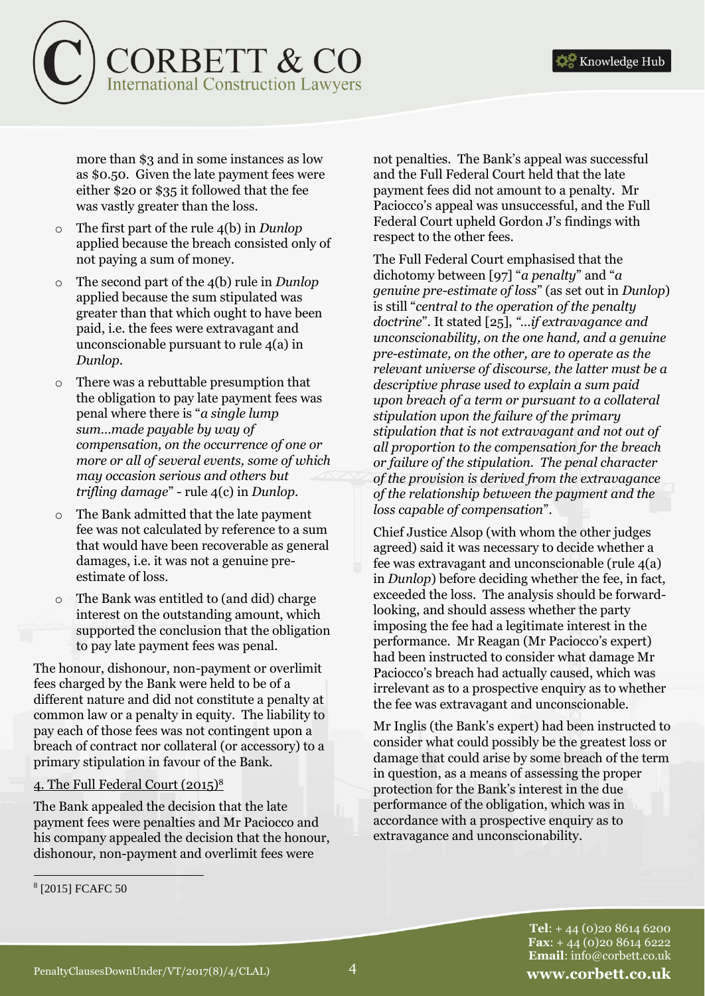

more than \$3 and in some instances as low as \$0.50. Given the late payment fees were either \$20 or \$35 it followed that the fee was vastly greater than the loss.

- The first part of the rule 4(b) in *Dunlop* applied because the breach consisted only of not paying a sum of money.
- The second part of the 4(b) rule in *Dunlop* applied because the sum stipulated was greater than that which ought to have been paid, i.e. the fees were extravagant and unconscionable pursuant to rule 4(a) in *Dunlop*.
- o There was a rebuttable presumption that the obligation to pay late payment fees was penal where there is "*a single lump sum…made payable by way of compensation, on the occurrence of one or more or all of several events, some of which may occasion serious and others but trifling damage*" - rule 4(c) in *Dunlop*.
- The Bank admitted that the late payment fee was not calculated by reference to a sum that would have been recoverable as general damages, i.e. it was not a genuine preestimate of loss.
- o The Bank was entitled to (and did) charge interest on the outstanding amount, which supported the conclusion that the obligation to pay late payment fees was penal.

The honour, dishonour, non-payment or overlimit fees charged by the Bank were held to be of a different nature and did not constitute a penalty at common law or a penalty in equity. The liability to pay each of those fees was not contingent upon a breach of contract nor collateral (or accessory) to a primary stipulation in favour of the Bank.

#### 4. The Full Federal Court (2015)<sup>8</sup>

The Bank appealed the decision that the late payment fees were penalties and Mr Paciocco and his company appealed the decision that the honour, dishonour, non-payment and overlimit fees were

not penalties. The Bank's appeal was successful and the Full Federal Court held that the late payment fees did not amount to a penalty. Mr Paciocco's appeal was unsuccessful, and the Full Federal Court upheld Gordon J's findings with respect to the other fees.

The Full Federal Court emphasised that the dichotomy between [97] "*a penalty*" and "*a genuine pre-estimate of loss*" (as set out in *Dunlop*) is still "*central to the operation of the penalty doctrine*". It stated [25], *"…if extravagance and unconscionability, on the one hand, and a genuine pre-estimate, on the other, are to operate as the relevant universe of discourse, the latter must be a descriptive phrase used to explain a sum paid upon breach of a term or pursuant to a collateral stipulation upon the failure of the primary stipulation that is not extravagant and not out of all proportion to the compensation for the breach or failure of the stipulation. The penal character of the provision is derived from the extravagance of the relationship between the payment and the loss capable of compensation*".

Chief Justice Alsop (with whom the other judges agreed) said it was necessary to decide whether a fee was extravagant and unconscionable (rule 4(a) in *Dunlop*) before deciding whether the fee, in fact, exceeded the loss. The analysis should be forwardlooking, and should assess whether the party imposing the fee had a legitimate interest in the performance. Mr Reagan (Mr Paciocco's expert) had been instructed to consider what damage Mr Paciocco's breach had actually caused, which was irrelevant as to a prospective enquiry as to whether the fee was extravagant and unconscionable.

Mr Inglis (the Bank's expert) had been instructed to consider what could possibly be the greatest loss or damage that could arise by some breach of the term in question, as a means of assessing the proper protection for the Bank's interest in the due performance of the obligation, which was in accordance with a prospective enquiry as to extravagance and unconscionability.

 8 [2015] FCAFC 50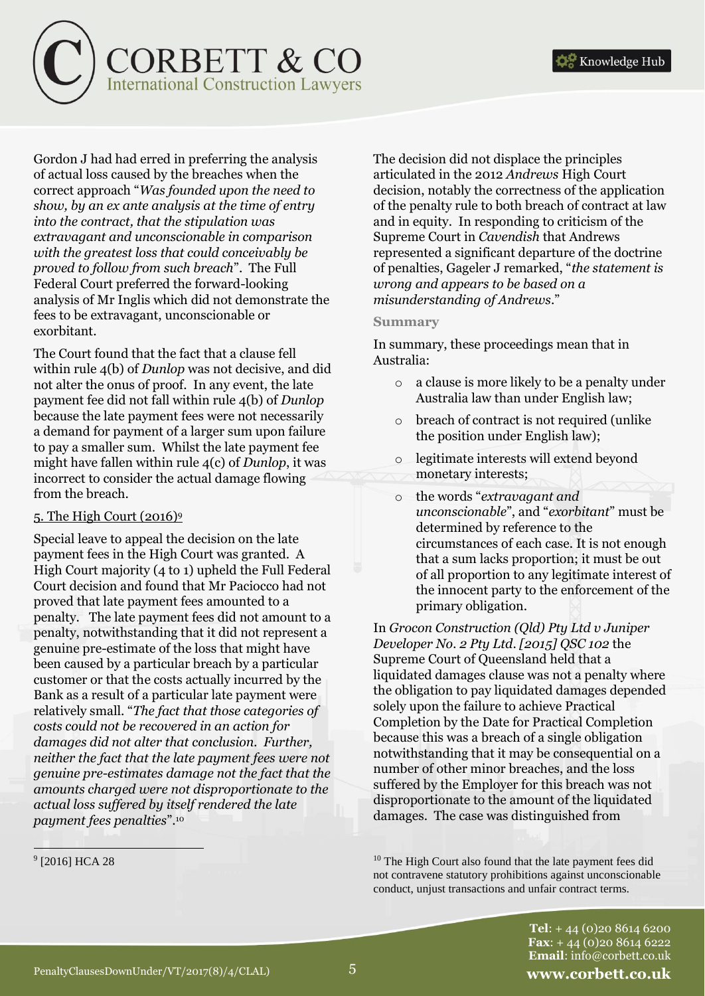

Gordon J had had erred in preferring the analysis of actual loss caused by the breaches when the correct approach "*Was founded upon the need to show, by an ex ante analysis at the time of entry into the contract, that the stipulation was extravagant and unconscionable in comparison with the greatest loss that could conceivably be proved to follow from such breach*". The Full Federal Court preferred the forward-looking analysis of Mr Inglis which did not demonstrate the fees to be extravagant, unconscionable or exorbitant.

The Court found that the fact that a clause fell within rule 4(b) of *Dunlop* was not decisive, and did not alter the onus of proof. In any event, the late payment fee did not fall within rule 4(b) of *Dunlop* because the late payment fees were not necessarily a demand for payment of a larger sum upon failure to pay a smaller sum. Whilst the late payment fee might have fallen within rule 4(c) of *Dunlop*, it was incorrect to consider the actual damage flowing from the breach.

# 5. The High Court (2016)<sup>9</sup>

Special leave to appeal the decision on the late payment fees in the High Court was granted. A High Court majority (4 to 1) upheld the Full Federal Court decision and found that Mr Paciocco had not proved that late payment fees amounted to a penalty. The late payment fees did not amount to a penalty, notwithstanding that it did not represent a genuine pre-estimate of the loss that might have been caused by a particular breach by a particular customer or that the costs actually incurred by the Bank as a result of a particular late payment were relatively small. "*The fact that those categories of costs could not be recovered in an action for damages did not alter that conclusion. Further, neither the fact that the late payment fees were not genuine pre-estimates damage not the fact that the amounts charged were not disproportionate to the actual loss suffered by itself rendered the late payment fees penalties*".<sup>10</sup>

9 [2016] HCA 28

The decision did not displace the principles articulated in the 2012 *Andrews* High Court decision, notably the correctness of the application of the penalty rule to both breach of contract at law and in equity. In responding to criticism of the Supreme Court in *Cavendish* that Andrews represented a significant departure of the doctrine of penalties, Gageler J remarked, "*the statement is wrong and appears to be based on a misunderstanding of Andrews*."

#### **Summary**

In summary, these proceedings mean that in Australia:

- o a clause is more likely to be a penalty under Australia law than under English law;
- o breach of contract is not required (unlike the position under English law);
- o legitimate interests will extend beyond monetary interests;
- o the words "*extravagant and unconscionable*", and "*exorbitant*" must be determined by reference to the circumstances of each case. It is not enough that a sum lacks proportion; it must be out of all proportion to any legitimate interest of the innocent party to the enforcement of the primary obligation.

In *Grocon Construction (Qld) Pty Ltd v Juniper Developer No. 2 Pty Ltd*. *[2015] QSC 102* the Supreme Court of Queensland held that a liquidated damages clause was not a penalty where the obligation to pay liquidated damages depended solely upon the failure to achieve Practical Completion by the Date for Practical Completion because this was a breach of a single obligation notwithstanding that it may be consequential on a number of other minor breaches, and the loss suffered by the Employer for this breach was not disproportionate to the amount of the liquidated damages. The case was distinguished from

<sup>10</sup> The High Court also found that the late payment fees did not contravene statutory prohibitions against unconscionable conduct, unjust transactions and unfair contract terms.